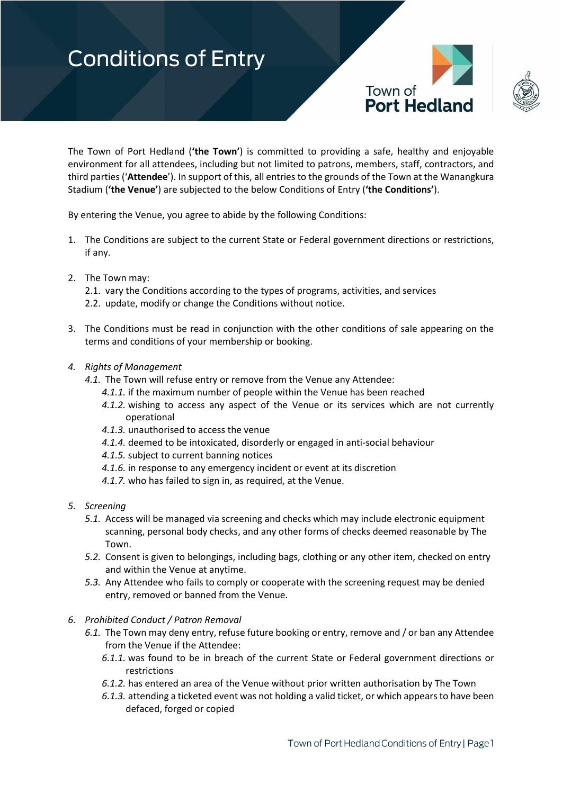



The Town of Port Hedland (**'the Town'**) is committed to providing a safe, healthy and enjoyable environment for all attendees, including but not limited to patrons, members, staff, contractors, and third parties ('**Attendee**'). In support of this, all entries to the grounds of the Town at the Wanangkura Stadium (**'the Venue'**) are subjected to the below Conditions of Entry (**'the Conditions'**).

By entering the Venue, you agree to abide by the following Conditions:

- 1. The Conditions are subject to the current State or Federal government directions or restrictions, if any.
- 2. The Town may:
	- 2.1. vary the Conditions according to the types of programs, activities, and services
	- 2.2. update, modify or change the Conditions without notice.
- 3. The Conditions must be read in conjunction with the other conditions of sale appearing on the terms and conditions of your membership or booking.
- *4. Rights of Management*
	- *4.1.* The Town will refuse entry or remove from the Venue any Attendee:
		- *4.1.1.* if the maximum number of people within the Venue has been reached
		- *4.1.2.* wishing to access any aspect of the Venue or its services which are not currently operational
		- *4.1.3.* unauthorised to access the venue
		- *4.1.4.* deemed to be intoxicated, disorderly or engaged in anti-social behaviour
		- *4.1.5.* subject to current banning notices
		- *4.1.6.* in response to any emergency incident or event at its discretion
		- *4.1.7.* who has failed to sign in, as required, at the Venue.
- *5. Screening*
	- *5.1.* Access will be managed via screening and checks which may include electronic equipment scanning, personal body checks, and any other forms of checks deemed reasonable by The Town.
	- *5.2.* Consent is given to belongings, including bags, clothing or any other item, checked on entry and within the Venue at anytime.
	- *5.3.* Any Attendee who fails to comply or cooperate with the screening request may be denied entry, removed or banned from the Venue.

#### *6. Prohibited Conduct / Patron Removal*

- *6.1.* The Town may deny entry, refuse future booking or entry, remove and / or ban any Attendee from the Venue if the Attendee:
	- *6.1.1.* was found to be in breach of the current State or Federal government directions or restrictions
	- *6.1.2.* has entered an area of the Venue without prior written authorisation by The Town
	- *6.1.3.* attending a ticketed event was not holding a valid ticket, or which appears to have been defaced, forged or copied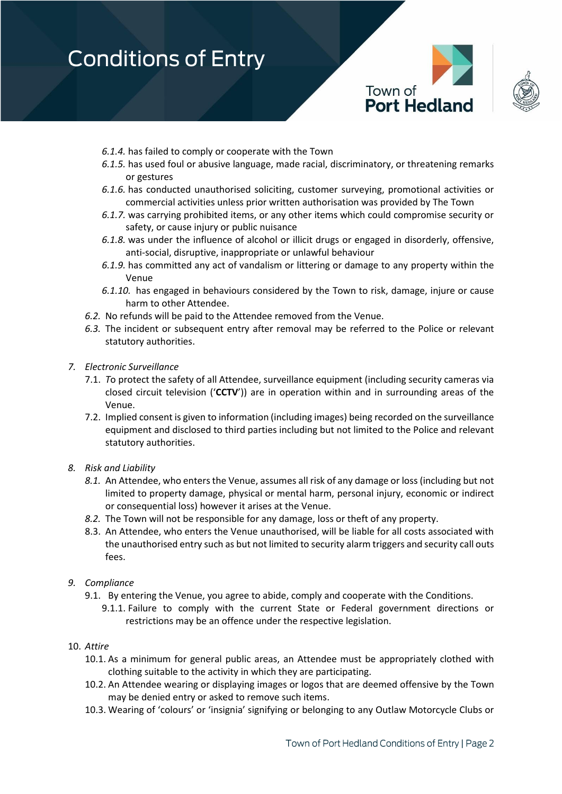

- *6.1.4.* has failed to comply or cooperate with the Town
- *6.1.5.* has used foul or abusive language, made racial, discriminatory, or threatening remarks or gestures
- *6.1.6.* has conducted unauthorised soliciting, customer surveying, promotional activities or commercial activities unless prior written authorisation was provided by The Town
- *6.1.7.* was carrying prohibited items, or any other items which could compromise security or safety, or cause injury or public nuisance
- *6.1.8.* was under the influence of alcohol or illicit drugs or engaged in disorderly, offensive, anti-social, disruptive, inappropriate or unlawful behaviour
- *6.1.9.* has committed any act of vandalism or littering or damage to any property within the Venue
- *6.1.10.* has engaged in behaviours considered by the Town to risk, damage, injure or cause harm to other Attendee.
- *6.2.* No refunds will be paid to the Attendee removed from the Venue.
- *6.3.* The incident or subsequent entry after removal may be referred to the Police or relevant statutory authorities.
- *7. Electronic Surveillance*
	- 7.1. *T*o protect the safety of all Attendee, surveillance equipment (including security cameras via closed circuit television ('**CCTV**')) are in operation within and in surrounding areas of the Venue.
	- 7.2. Implied consent is given to information (including images) being recorded on the surveillance equipment and disclosed to third parties including but not limited to the Police and relevant statutory authorities.
- *8. Risk and Liability*
	- *8.1.* An Attendee, who enters the Venue, assumes all risk of any damage or loss (including but not limited to property damage, physical or mental harm, personal injury, economic or indirect or consequential loss) however it arises at the Venue.
	- *8.2.* The Town will not be responsible for any damage, loss or theft of any property.
	- 8.3. An Attendee, who enters the Venue unauthorised, will be liable for all costs associated with the unauthorised entry such as but not limited to security alarm triggers and security call outs fees.
- *9. Compliance*
	- 9.1. By entering the Venue, you agree to abide, comply and cooperate with the Conditions.
		- 9.1.1. Failure to comply with the current State or Federal government directions or restrictions may be an offence under the respective legislation.
- 10. *Attire*
	- 10.1. As a minimum for general public areas, an Attendee must be appropriately clothed with clothing suitable to the activity in which they are participating.
	- 10.2. An Attendee wearing or displaying images or logos that are deemed offensive by the Town may be denied entry or asked to remove such items.
	- 10.3. Wearing of 'colours' or 'insignia' signifying or belonging to any Outlaw Motorcycle Clubs or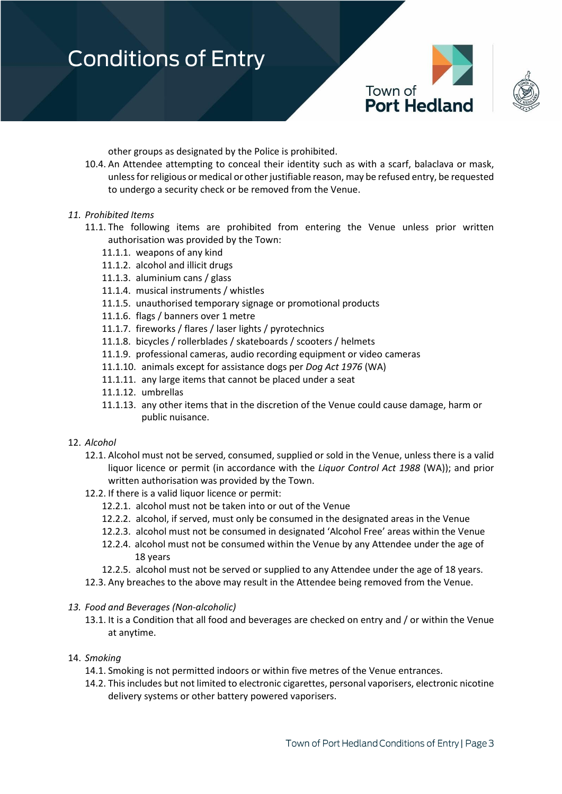

other groups as designated by the Police is prohibited.

10.4. An Attendee attempting to conceal their identity such as with a scarf, balaclava or mask, unless for religious or medical or other justifiable reason, may be refused entry, be requested to undergo a security check or be removed from the Venue.

#### *11. Prohibited Items*

- 11.1. The following items are prohibited from entering the Venue unless prior written authorisation was provided by the Town:
	- 11.1.1. weapons of any kind
	- 11.1.2. alcohol and illicit drugs
	- 11.1.3. aluminium cans / glass
	- 11.1.4. musical instruments / whistles
	- 11.1.5. unauthorised temporary signage or promotional products
	- 11.1.6. flags / banners over 1 metre
	- 11.1.7. fireworks / flares / laser lights / pyrotechnics
	- 11.1.8. bicycles / rollerblades / skateboards / scooters / helmets
	- 11.1.9. professional cameras, audio recording equipment or video cameras
	- 11.1.10. animals except for assistance dogs per *Dog Act 1976* (WA)
	- 11.1.11. any large items that cannot be placed under a seat
	- 11.1.12. umbrellas
	- 11.1.13. any other items that in the discretion of the Venue could cause damage, harm or public nuisance.

#### 12. *Alcohol*

- 12.1. Alcohol must not be served, consumed, supplied or sold in the Venue, unless there is a valid liquor licence or permit (in accordance with the *Liquor Control Act 1988* (WA)); and prior written authorisation was provided by the Town.
- 12.2. If there is a valid liquor licence or permit:
	- 12.2.1. alcohol must not be taken into or out of the Venue
	- 12.2.2. alcohol, if served, must only be consumed in the designated areas in the Venue
	- 12.2.3. alcohol must not be consumed in designated 'Alcohol Free' areas within the Venue
	- 12.2.4. alcohol must not be consumed within the Venue by any Attendee under the age of 18 years
	- 12.2.5. alcohol must not be served or supplied to any Attendee under the age of 18 years.
- 12.3. Any breaches to the above may result in the Attendee being removed from the Venue.
- *13. Food and Beverages (Non-alcoholic)* 
	- 13.1. It is a Condition that all food and beverages are checked on entry and / or within the Venue at anytime.

#### 14. *Smoking*

- 14.1. Smoking is not permitted indoors or within five metres of the Venue entrances.
- 14.2. This includes but not limited to electronic cigarettes, personal vaporisers, electronic nicotine delivery systems or other battery powered vaporisers.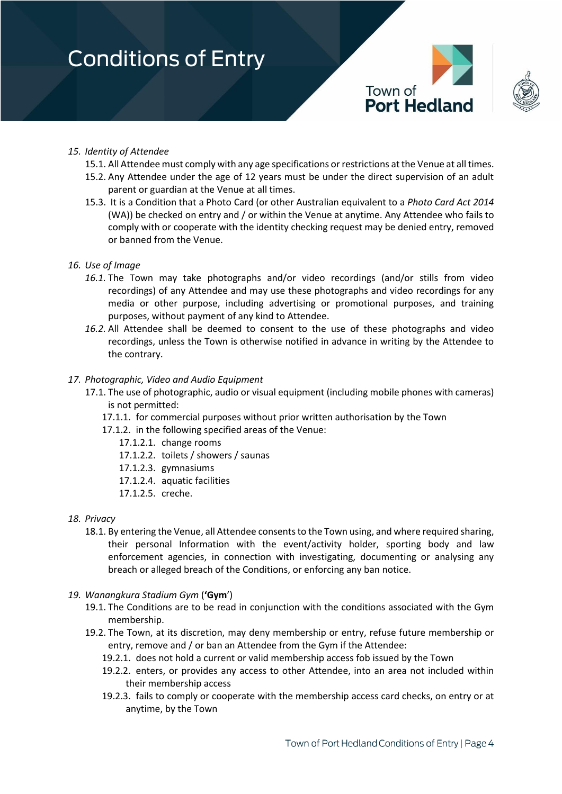



### *15. Identity of Attendee*

- 15.1. All Attendee must comply with any age specifications or restrictions at the Venue at all times.
- 15.2. Any Attendee under the age of 12 years must be under the direct supervision of an adult parent or guardian at the Venue at all times.
- 15.3. It is a Condition that a Photo Card (or other Australian equivalent to a *Photo Card Act 2014* (WA)) be checked on entry and / or within the Venue at anytime. Any Attendee who fails to comply with or cooperate with the identity checking request may be denied entry, removed or banned from the Venue.

### *16. Use of Image*

- *16.1.* The Town may take photographs and/or video recordings (and/or stills from video recordings) of any Attendee and may use these photographs and video recordings for any media or other purpose, including advertising or promotional purposes, and training purposes, without payment of any kind to Attendee.
- *16.2.* All Attendee shall be deemed to consent to the use of these photographs and video recordings, unless the Town is otherwise notified in advance in writing by the Attendee to the contrary.

#### *17. Photographic, Video and Audio Equipment*

- 17.1. The use of photographic, audio or visual equipment (including mobile phones with cameras) is not permitted:
	- 17.1.1. for commercial purposes without prior written authorisation by the Town
	- 17.1.2. in the following specified areas of the Venue:
		- 17.1.2.1. change rooms
		- 17.1.2.2. toilets / showers / saunas
		- 17.1.2.3. gymnasiums
		- 17.1.2.4. aquatic facilities
		- 17.1.2.5. creche.
- *18. Privacy*
	- 18.1. By entering the Venue, all Attendee consents to the Town using, and where required sharing, their personal Information with the event/activity holder, sporting body and law enforcement agencies, in connection with investigating, documenting or analysing any breach or alleged breach of the Conditions, or enforcing any ban notice.
- *19. Wanangkura Stadium Gym* (**'Gym**')
	- 19.1. The Conditions are to be read in conjunction with the conditions associated with the Gym membership.
	- 19.2. The Town, at its discretion, may deny membership or entry, refuse future membership or entry, remove and / or ban an Attendee from the Gym if the Attendee:
		- 19.2.1. does not hold a current or valid membership access fob issued by the Town
		- 19.2.2. enters, or provides any access to other Attendee, into an area not included within their membership access
		- 19.2.3. fails to comply or cooperate with the membership access card checks, on entry or at anytime, by the Town